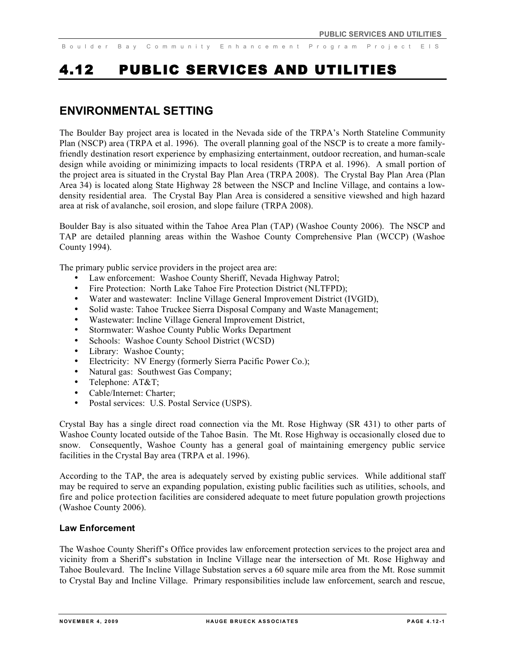# 4.12 PUBLIC SERVICES AND UTILITIES

# **ENVIRONMENTAL SETTING**

The Boulder Bay project area is located in the Nevada side of the TRPA's North Stateline Community Plan (NSCP) area (TRPA et al. 1996). The overall planning goal of the NSCP is to create a more familyfriendly destination resort experience by emphasizing entertainment, outdoor recreation, and human-scale design while avoiding or minimizing impacts to local residents (TRPA et al. 1996). A small portion of the project area is situated in the Crystal Bay Plan Area (TRPA 2008). The Crystal Bay Plan Area (Plan Area 34) is located along State Highway 28 between the NSCP and Incline Village, and contains a lowdensity residential area. The Crystal Bay Plan Area is considered a sensitive viewshed and high hazard area at risk of avalanche, soil erosion, and slope failure (TRPA 2008).

Boulder Bay is also situated within the Tahoe Area Plan (TAP) (Washoe County 2006). The NSCP and TAP are detailed planning areas within the Washoe County Comprehensive Plan (WCCP) (Washoe County 1994).

The primary public service providers in the project area are:

- Law enforcement: Washoe County Sheriff, Nevada Highway Patrol;
- Fire Protection: North Lake Tahoe Fire Protection District (NLTFPD);
- Water and wastewater: Incline Village General Improvement District (IVGID),
- Solid waste: Tahoe Truckee Sierra Disposal Company and Waste Management;
- Wastewater: Incline Village General Improvement District,
- Stormwater: Washoe County Public Works Department
- Schools: Washoe County School District (WCSD)
- Library: Washoe County:
- Electricity: NV Energy (formerly Sierra Pacific Power Co.);
- Natural gas: Southwest Gas Company;
- Telephone: AT&T;
- Cable/Internet: Charter;<br>• Postal services: IIS Po
- Postal services: U.S. Postal Service (USPS).

Crystal Bay has a single direct road connection via the Mt. Rose Highway (SR 431) to other parts of Washoe County located outside of the Tahoe Basin. The Mt. Rose Highway is occasionally closed due to snow. Consequently, Washoe County has a general goal of maintaining emergency public service facilities in the Crystal Bay area (TRPA et al. 1996).

According to the TAP, the area is adequately served by existing public services. While additional staff may be required to serve an expanding population, existing public facilities such as utilities, schools, and fire and police protection facilities are considered adequate to meet future population growth projections (Washoe County 2006).

# **Law Enforcement**

The Washoe County Sheriff's Office provides law enforcement protection services to the project area and vicinity from a Sheriff's substation in Incline Village near the intersection of Mt. Rose Highway and Tahoe Boulevard. The Incline Village Substation serves a 60 square mile area from the Mt. Rose summit to Crystal Bay and Incline Village. Primary responsibilities include law enforcement, search and rescue,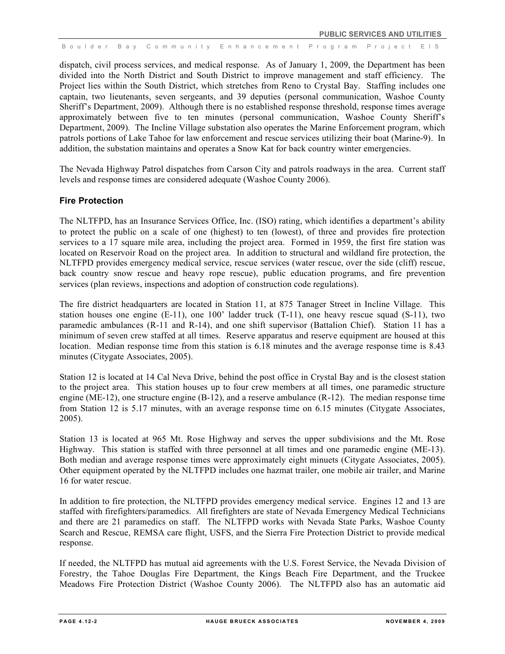dispatch, civil process services, and medical response. As of January 1, 2009, the Department has been divided into the North District and South District to improve management and staff efficiency. The Project lies within the South District, which stretches from Reno to Crystal Bay. Staffing includes one captain, two lieutenants, seven sergeants, and 39 deputies (personal communication, Washoe County Sheriff's Department, 2009). Although there is no established response threshold, response times average approximately between five to ten minutes (personal communication, Washoe County Sheriff's Department, 2009). The Incline Village substation also operates the Marine Enforcement program, which patrols portions of Lake Tahoe for law enforcement and rescue services utilizing their boat (Marine-9). In addition, the substation maintains and operates a Snow Kat for back country winter emergencies.

The Nevada Highway Patrol dispatches from Carson City and patrols roadways in the area. Current staff levels and response times are considered adequate (Washoe County 2006).

# **Fire Protection**

The NLTFPD, has an Insurance Services Office, Inc. (ISO) rating, which identifies a department's ability to protect the public on a scale of one (highest) to ten (lowest), of three and provides fire protection services to a 17 square mile area, including the project area. Formed in 1959, the first fire station was located on Reservoir Road on the project area. In addition to structural and wildland fire protection, the NLTFPD provides emergency medical service, rescue services (water rescue, over the side (cliff) rescue, back country snow rescue and heavy rope rescue), public education programs, and fire prevention services (plan reviews, inspections and adoption of construction code regulations).

The fire district headquarters are located in Station 11, at 875 Tanager Street in Incline Village. This station houses one engine  $(E-11)$ , one 100' ladder truck  $(T-11)$ , one heavy rescue squad  $(S-11)$ , two paramedic ambulances (R-11 and R-14), and one shift supervisor (Battalion Chief). Station 11 has a minimum of seven crew staffed at all times. Reserve apparatus and reserve equipment are housed at this location. Median response time from this station is 6.18 minutes and the average response time is 8.43 minutes (Citygate Associates, 2005).

Station 12 is located at 14 Cal Neva Drive, behind the post office in Crystal Bay and is the closest station to the project area. This station houses up to four crew members at all times, one paramedic structure engine (ME-12), one structure engine (B-12), and a reserve ambulance (R-12). The median response time from Station 12 is 5.17 minutes, with an average response time on 6.15 minutes (Citygate Associates, 2005).

Station 13 is located at 965 Mt. Rose Highway and serves the upper subdivisions and the Mt. Rose Highway. This station is staffed with three personnel at all times and one paramedic engine (ME-13). Both median and average response times were approximately eight minuets (Citygate Associates, 2005). Other equipment operated by the NLTFPD includes one hazmat trailer, one mobile air trailer, and Marine 16 for water rescue.

In addition to fire protection, the NLTFPD provides emergency medical service. Engines 12 and 13 are staffed with firefighters/paramedics. All firefighters are state of Nevada Emergency Medical Technicians and there are 21 paramedics on staff. The NLTFPD works with Nevada State Parks, Washoe County Search and Rescue, REMSA care flight, USFS, and the Sierra Fire Protection District to provide medical response.

If needed, the NLTFPD has mutual aid agreements with the U.S. Forest Service, the Nevada Division of Forestry, the Tahoe Douglas Fire Department, the Kings Beach Fire Department, and the Truckee Meadows Fire Protection District (Washoe County 2006). The NLTFPD also has an automatic aid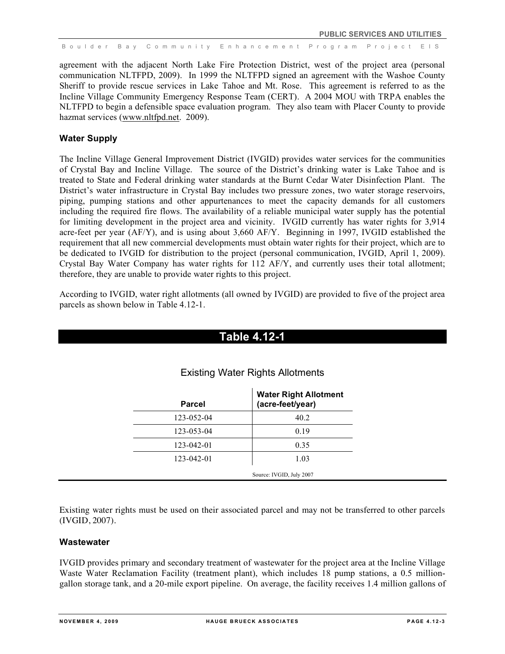agreement with the adjacent North Lake Fire Protection District, west of the project area (personal communication NLTFPD, 2009). In 1999 the NLTFPD signed an agreement with the Washoe County Sheriff to provide rescue services in Lake Tahoe and Mt. Rose. This agreement is referred to as the Incline Village Community Emergency Response Team (CERT). A 2004 MOU with TRPA enables the NLTFPD to begin a defensible space evaluation program. They also team with Placer County to provide hazmat services (www.nltfpd.net. 2009).

# **Water Supply**

The Incline Village General Improvement District (IVGID) provides water services for the communities of Crystal Bay and Incline Village. The source of the District's drinking water is Lake Tahoe and is treated to State and Federal drinking water standards at the Burnt Cedar Water Disinfection Plant. The District's water infrastructure in Crystal Bay includes two pressure zones, two water storage reservoirs, piping, pumping stations and other appurtenances to meet the capacity demands for all customers including the required fire flows. The availability of a reliable municipal water supply has the potential for limiting development in the project area and vicinity. IVGID currently has water rights for 3,914 acre-feet per year (AF/Y), and is using about 3,660 AF/Y. Beginning in 1997, IVGID established the requirement that all new commercial developments must obtain water rights for their project, which are to be dedicated to IVGID for distribution to the project (personal communication, IVGID, April 1, 2009). Crystal Bay Water Company has water rights for 112 AF/Y, and currently uses their total allotment; therefore, they are unable to provide water rights to this project.

According to IVGID, water right allotments (all owned by IVGID) are provided to five of the project area parcels as shown below in Table 4.12-1.

# **Table 4.12-1**

| <b>Parcel</b> | <b>Water Right Allotment</b><br>(acre-feet/year) |  |  |
|---------------|--------------------------------------------------|--|--|
| 123-052-04    | 40.2                                             |  |  |
| 123-053-04    | 0.19                                             |  |  |
| 123-042-01    | 0.35                                             |  |  |
| 123-042-01    | 1.03                                             |  |  |
|               | Source: IVGID, July 2007                         |  |  |

# Existing Water Rights Allotments

Existing water rights must be used on their associated parcel and may not be transferred to other parcels (IVGID, 2007).

# **Wastewater**

IVGID provides primary and secondary treatment of wastewater for the project area at the Incline Village Waste Water Reclamation Facility (treatment plant), which includes 18 pump stations, a 0.5 milliongallon storage tank, and a 20-mile export pipeline. On average, the facility receives 1.4 million gallons of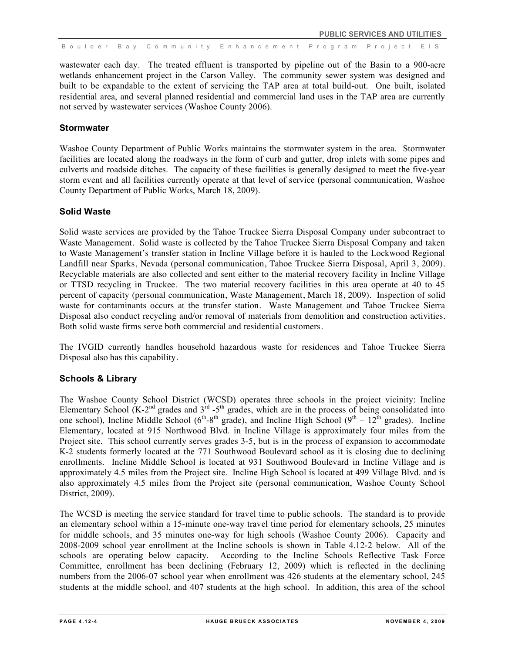wastewater each day. The treated effluent is transported by pipeline out of the Basin to a 900-acre wetlands enhancement project in the Carson Valley. The community sewer system was designed and built to be expandable to the extent of servicing the TAP area at total build-out. One built, isolated residential area, and several planned residential and commercial land uses in the TAP area are currently not served by wastewater services (Washoe County 2006).

### **Stormwater**

Washoe County Department of Public Works maintains the stormwater system in the area. Stormwater facilities are located along the roadways in the form of curb and gutter, drop inlets with some pipes and culverts and roadside ditches. The capacity of these facilities is generally designed to meet the five-year storm event and all facilities currently operate at that level of service (personal communication, Washoe County Department of Public Works, March 18, 2009).

### **Solid Waste**

Solid waste services are provided by the Tahoe Truckee Sierra Disposal Company under subcontract to Waste Management. Solid waste is collected by the Tahoe Truckee Sierra Disposal Company and taken to Waste Management's transfer station in Incline Village before it is hauled to the Lockwood Regional Landfill near Sparks, Nevada (personal communication, Tahoe Truckee Sierra Disposal, April 3, 2009). Recyclable materials are also collected and sent either to the material recovery facility in Incline Village or TTSD recycling in Truckee. The two material recovery facilities in this area operate at 40 to 45 percent of capacity (personal communication, Waste Management, March 18, 2009). Inspection of solid waste for contaminants occurs at the transfer station. Waste Management and Tahoe Truckee Sierra Disposal also conduct recycling and/or removal of materials from demolition and construction activities. Both solid waste firms serve both commercial and residential customers.

The IVGID currently handles household hazardous waste for residences and Tahoe Truckee Sierra Disposal also has this capability.

# **Schools & Library**

The Washoe County School District (WCSD) operates three schools in the project vicinity: Incline Elementary School  $(K-2<sup>nd</sup>$  grades and  $3<sup>rd</sup> -5<sup>th</sup>$  grades, which are in the process of being consolidated into one school), Incline Middle School ( $6<sup>th</sup>-8<sup>th</sup>$  grade), and Incline High School ( $9<sup>th</sup> - 12<sup>th</sup>$  grades). Incline Elementary, located at 915 Northwood Blvd. in Incline Village is approximately four miles from the Project site. This school currently serves grades 3-5, but is in the process of expansion to accommodate K-2 students formerly located at the 771 Southwood Boulevard school as it is closing due to declining enrollments. Incline Middle School is located at 931 Southwood Boulevard in Incline Village and is approximately 4.5 miles from the Project site. Incline High School is located at 499 Village Blvd. and is also approximately 4.5 miles from the Project site (personal communication, Washoe County School District, 2009).

The WCSD is meeting the service standard for travel time to public schools. The standard is to provide an elementary school within a 15-minute one-way travel time period for elementary schools, 25 minutes for middle schools, and 35 minutes one-way for high schools (Washoe County 2006). Capacity and 2008-2009 school year enrollment at the Incline schools is shown in Table 4.12-2 below. All of the schools are operating below capacity. According to the Incline Schools Reflective Task Force Committee, enrollment has been declining (February 12, 2009) which is reflected in the declining numbers from the 2006-07 school year when enrollment was 426 students at the elementary school, 245 students at the middle school, and 407 students at the high school. In addition, this area of the school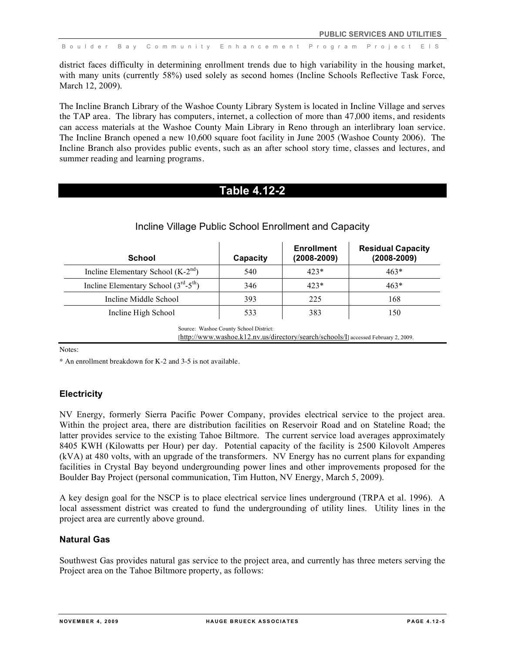district faces difficulty in determining enrollment trends due to high variability in the housing market, with many units (currently 58%) used solely as second homes (Incline Schools Reflective Task Force, March 12, 2009).

The Incline Branch Library of the Washoe County Library System is located in Incline Village and serves the TAP area. The library has computers, internet, a collection of more than 47,000 items, and residents can access materials at the Washoe County Main Library in Reno through an interlibrary loan service. The Incline Branch opened a new 10,600 square foot facility in June 2005 (Washoe County 2006). The Incline Branch also provides public events, such as an after school story time, classes and lectures, and summer reading and learning programs.

# **Table 4.12-2**

| <b>School</b>                         | Capacity                               | <b>Enrollment</b><br>$(2008 - 2009)$                                                | <b>Residual Capacity</b><br>$(2008 - 2009)$ |
|---------------------------------------|----------------------------------------|-------------------------------------------------------------------------------------|---------------------------------------------|
| Incline Elementary School $(K-2nd)$   | 540                                    | $423*$                                                                              | $463*$                                      |
| Incline Elementary School $(3rd-5th)$ | 346                                    | $423*$                                                                              | $463*$                                      |
| Incline Middle School                 | 393                                    | 225                                                                                 | 168                                         |
| Incline High School                   | 533                                    | 383                                                                                 | 150                                         |
|                                       | Source: Washoe County School District: | [http://www.washoe.k12.nv.us/directory/search/schools/I] accessed February 2, 2009. |                                             |

# Incline Village Public School Enrollment and Capacity

Notes:

\* An enrollment breakdown for K-2 and 3-5 is not available.

# **Electricity**

NV Energy, formerly Sierra Pacific Power Company, provides electrical service to the project area. Within the project area, there are distribution facilities on Reservoir Road and on Stateline Road; the latter provides service to the existing Tahoe Biltmore. The current service load averages approximately 8405 KWH (Kilowatts per Hour) per day. Potential capacity of the facility is 2500 Kilovolt Amperes (kVA) at 480 volts, with an upgrade of the transformers. NV Energy has no current plans for expanding facilities in Crystal Bay beyond undergrounding power lines and other improvements proposed for the Boulder Bay Project (personal communication, Tim Hutton, NV Energy, March 5, 2009).

A key design goal for the NSCP is to place electrical service lines underground (TRPA et al. 1996). A local assessment district was created to fund the undergrounding of utility lines. Utility lines in the project area are currently above ground.

# **Natural Gas**

Southwest Gas provides natural gas service to the project area, and currently has three meters serving the Project area on the Tahoe Biltmore property, as follows: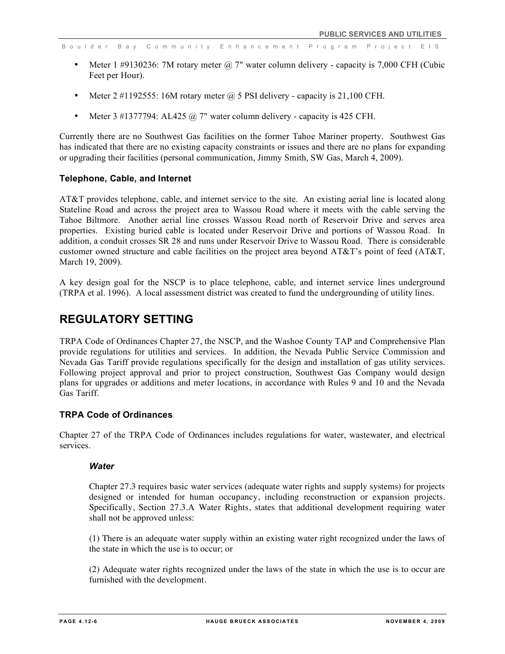- Meter 1 #9130236: 7M rotary meter  $\omega$  7" water column delivery capacity is 7,000 CFH (Cubic Feet per Hour).
- Meter  $2 \neq 1192555$ : 16M rotary meter  $\omega$  5 PSI delivery capacity is 21,100 CFH.
- Meter 3 #1377794: AL425  $@ 7"$  water column delivery capacity is 425 CFH.

Currently there are no Southwest Gas facilities on the former Tahoe Mariner property. Southwest Gas has indicated that there are no existing capacity constraints or issues and there are no plans for expanding or upgrading their facilities (personal communication, Jimmy Smith, SW Gas, March 4, 2009).

### **Telephone, Cable, and Internet**

AT&T provides telephone, cable, and internet service to the site. An existing aerial line is located along Stateline Road and across the project area to Wassou Road where it meets with the cable serving the Tahoe Biltmore. Another aerial line crosses Wassou Road north of Reservoir Drive and serves area properties. Existing buried cable is located under Reservoir Drive and portions of Wassou Road. In addition, a conduit crosses SR 28 and runs under Reservoir Drive to Wassou Road. There is considerable customer owned structure and cable facilities on the project area beyond AT&T's point of feed (AT&T, March 19, 2009).

A key design goal for the NSCP is to place telephone, cable, and internet service lines underground (TRPA et al. 1996). A local assessment district was created to fund the undergrounding of utility lines.

# **REGULATORY SETTING**

TRPA Code of Ordinances Chapter 27, the NSCP, and the Washoe County TAP and Comprehensive Plan provide regulations for utilities and services. In addition, the Nevada Public Service Commission and Nevada Gas Tariff provide regulations specifically for the design and installation of gas utility services. Following project approval and prior to project construction, Southwest Gas Company would design plans for upgrades or additions and meter locations, in accordance with Rules 9 and 10 and the Nevada Gas Tariff.

# **TRPA Code of Ordinances**

Chapter 27 of the TRPA Code of Ordinances includes regulations for water, wastewater, and electrical services.

### *Water*

Chapter 27.3 requires basic water services (adequate water rights and supply systems) for projects designed or intended for human occupancy, including reconstruction or expansion projects. Specifically, Section 27.3.A Water Rights, states that additional development requiring water shall not be approved unless:

(1) There is an adequate water supply within an existing water right recognized under the laws of the state in which the use is to occur; or

(2) Adequate water rights recognized under the laws of the state in which the use is to occur are furnished with the development.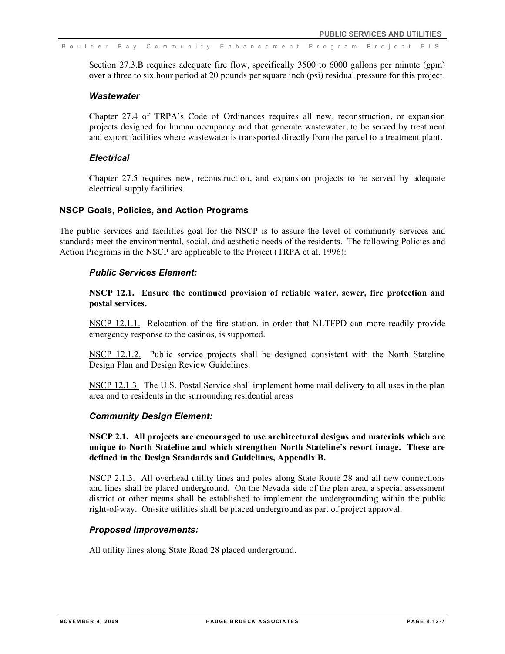Section 27.3.B requires adequate fire flow, specifically 3500 to 6000 gallons per minute (gpm) over a three to six hour period at 20 pounds per square inch (psi) residual pressure for this project.

### *Wastewater*

Chapter 27.4 of TRPA's Code of Ordinances requires all new, reconstruction, or expansion projects designed for human occupancy and that generate wastewater, to be served by treatment and export facilities where wastewater is transported directly from the parcel to a treatment plant.

### *Electrical*

Chapter 27.5 requires new, reconstruction, and expansion projects to be served by adequate electrical supply facilities.

### **NSCP Goals, Policies, and Action Programs**

The public services and facilities goal for the NSCP is to assure the level of community services and standards meet the environmental, social, and aesthetic needs of the residents. The following Policies and Action Programs in the NSCP are applicable to the Project (TRPA et al. 1996):

### *Public Services Element:*

**NSCP 12.1. Ensure the continued provision of reliable water, sewer, fire protection and postal services.**

NSCP 12.1.1. Relocation of the fire station, in order that NLTFPD can more readily provide emergency response to the casinos, is supported.

NSCP 12.1.2. Public service projects shall be designed consistent with the North Stateline Design Plan and Design Review Guidelines.

NSCP 12.1.3. The U.S. Postal Service shall implement home mail delivery to all uses in the plan area and to residents in the surrounding residential areas

### *Community Design Element:*

**NSCP 2.1. All projects are encouraged to use architectural designs and materials which are unique to North Stateline and which strengthen North Stateline's resort image. These are defined in the Design Standards and Guidelines, Appendix B.** 

NSCP 2.1.3. All overhead utility lines and poles along State Route 28 and all new connections and lines shall be placed underground. On the Nevada side of the plan area, a special assessment district or other means shall be established to implement the undergrounding within the public right-of-way. On-site utilities shall be placed underground as part of project approval.

### *Proposed Improvements:*

All utility lines along State Road 28 placed underground.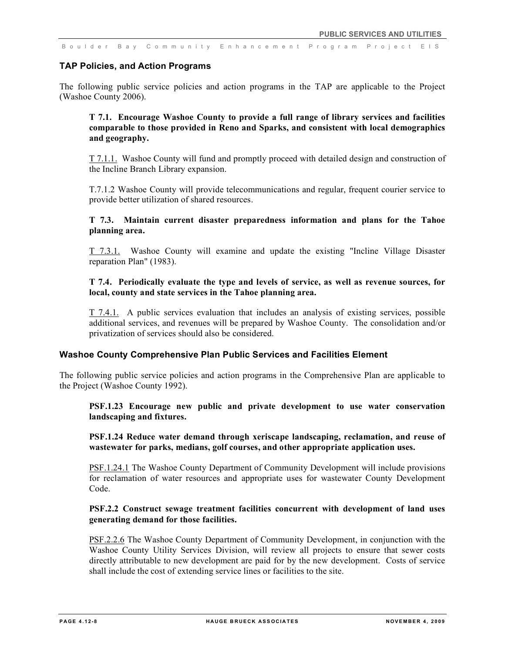### **TAP Policies, and Action Programs**

The following public service policies and action programs in the TAP are applicable to the Project (Washoe County 2006).

# **T 7.1. Encourage Washoe County to provide a full range of library services and facilities comparable to those provided in Reno and Sparks, and consistent with local demographics and geography.**

T 7.1.1. Washoe County will fund and promptly proceed with detailed design and construction of the Incline Branch Library expansion.

T.7.1.2 Washoe County will provide telecommunications and regular, frequent courier service to provide better utilization of shared resources.

### **T 7.3. Maintain current disaster preparedness information and plans for the Tahoe planning area.**

T 7.3.1. Washoe County will examine and update the existing "Incline Village Disaster reparation Plan" (1983).

# **T 7.4. Periodically evaluate the type and levels of service, as well as revenue sources, for local, county and state services in the Tahoe planning area.**

T 7.4.1. A public services evaluation that includes an analysis of existing services, possible additional services, and revenues will be prepared by Washoe County. The consolidation and/or privatization of services should also be considered.

# **Washoe County Comprehensive Plan Public Services and Facilities Element**

The following public service policies and action programs in the Comprehensive Plan are applicable to the Project (Washoe County 1992).

### **PSF.1.23 Encourage new public and private development to use water conservation landscaping and fixtures.**

**PSF.1.24 Reduce water demand through xeriscape landscaping, reclamation, and reuse of wastewater for parks, medians, golf courses, and other appropriate application uses.**

PSF.1.24.1 The Washoe County Department of Community Development will include provisions for reclamation of water resources and appropriate uses for wastewater County Development Code.

# **PSF.2.2 Construct sewage treatment facilities concurrent with development of land uses generating demand for those facilities.**

PSF.2.2.6 The Washoe County Department of Community Development, in conjunction with the Washoe County Utility Services Division, will review all projects to ensure that sewer costs directly attributable to new development are paid for by the new development. Costs of service shall include the cost of extending service lines or facilities to the site.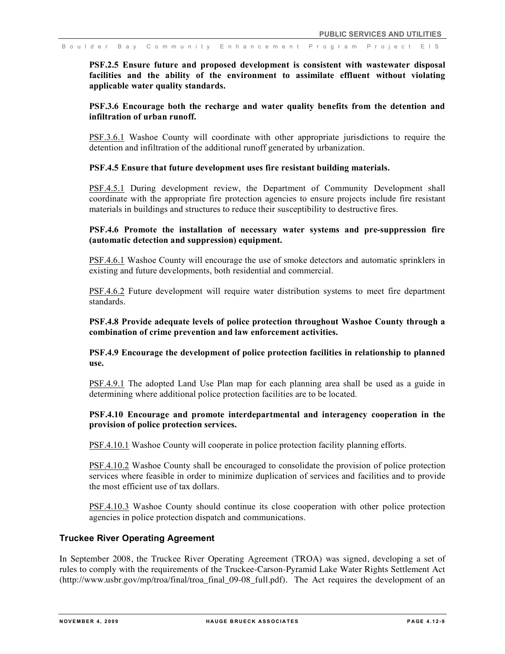**PSF.2.5 Ensure future and proposed development is consistent with wastewater disposal facilities and the ability of the environment to assimilate effluent without violating applicable water quality standards.**

### **PSF.3.6 Encourage both the recharge and water quality benefits from the detention and infiltration of urban runoff.**

PSF.3.6.1 Washoe County will coordinate with other appropriate jurisdictions to require the detention and infiltration of the additional runoff generated by urbanization.

### **PSF.4.5 Ensure that future development uses fire resistant building materials.**

PSF.4.5.1 During development review, the Department of Community Development shall coordinate with the appropriate fire protection agencies to ensure projects include fire resistant materials in buildings and structures to reduce their susceptibility to destructive fires.

### **PSF.4.6 Promote the installation of necessary water systems and pre-suppression fire (automatic detection and suppression) equipment.**

PSF.4.6.1 Washoe County will encourage the use of smoke detectors and automatic sprinklers in existing and future developments, both residential and commercial.

PSF.4.6.2 Future development will require water distribution systems to meet fire department standards.

### **PSF.4.8 Provide adequate levels of police protection throughout Washoe County through a combination of crime prevention and law enforcement activities.**

**PSF.4.9 Encourage the development of police protection facilities in relationship to planned use.**

PSF.4.9.1 The adopted Land Use Plan map for each planning area shall be used as a guide in determining where additional police protection facilities are to be located.

### **PSF.4.10 Encourage and promote interdepartmental and interagency cooperation in the provision of police protection services.**

PSF.4.10.1 Washoe County will cooperate in police protection facility planning efforts.

PSF.4.10.2 Washoe County shall be encouraged to consolidate the provision of police protection services where feasible in order to minimize duplication of services and facilities and to provide the most efficient use of tax dollars.

PSF.4.10.3 Washoe County should continue its close cooperation with other police protection agencies in police protection dispatch and communications.

### **Truckee River Operating Agreement**

In September 2008, the Truckee River Operating Agreement (TROA) was signed, developing a set of rules to comply with the requirements of the Truckee-Carson-Pyramid Lake Water Rights Settlement Act (http://www.usbr.gov/mp/troa/final/troa\_final\_09-08\_full.pdf). The Act requires the development of an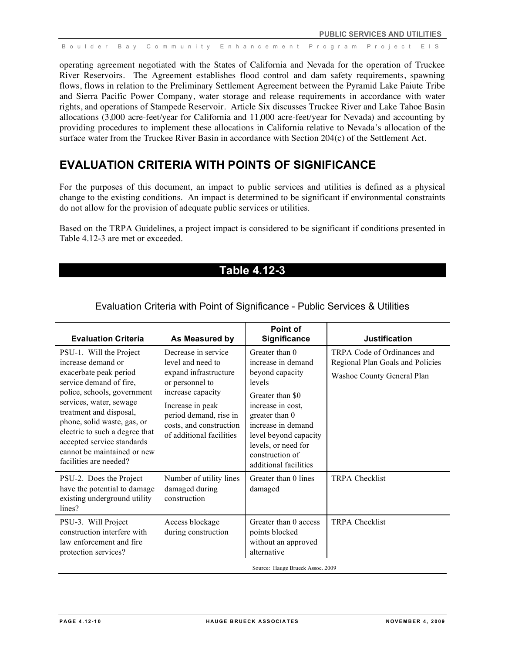operating agreement negotiated with the States of California and Nevada for the operation of Truckee River Reservoirs. The Agreement establishes flood control and dam safety requirements, spawning flows, flows in relation to the Preliminary Settlement Agreement between the Pyramid Lake Paiute Tribe and Sierra Pacific Power Company, water storage and release requirements in accordance with water rights, and operations of Stampede Reservoir. Article Six discusses Truckee River and Lake Tahoe Basin allocations (3,000 acre-feet/year for California and 11,000 acre-feet/year for Nevada) and accounting by providing procedures to implement these allocations in California relative to Nevada's allocation of the surface water from the Truckee River Basin in accordance with Section 204(c) of the Settlement Act.

# **EVALUATION CRITERIA WITH POINTS OF SIGNIFICANCE**

For the purposes of this document, an impact to public services and utilities is defined as a physical change to the existing conditions. An impact is determined to be significant if environmental constraints do not allow for the provision of adequate public services or utilities.

Based on the TRPA Guidelines, a project impact is considered to be significant if conditions presented in Table 4.12-3 are met or exceeded.

# **Table 4.12-3**

| <b>Evaluation Criteria</b>                                                                                                                                                                                                                                                                                                                      | As Measured by                                                                                                                                                                                                 | Point of<br><b>Significance</b>                                                                                                                                                                                                                | <b>Justification</b>                                                                          |
|-------------------------------------------------------------------------------------------------------------------------------------------------------------------------------------------------------------------------------------------------------------------------------------------------------------------------------------------------|----------------------------------------------------------------------------------------------------------------------------------------------------------------------------------------------------------------|------------------------------------------------------------------------------------------------------------------------------------------------------------------------------------------------------------------------------------------------|-----------------------------------------------------------------------------------------------|
| PSU-1. Will the Project<br>increase demand or<br>exacerbate peak period<br>service demand of fire,<br>police, schools, government<br>services, water, sewage<br>treatment and disposal,<br>phone, solid waste, gas, or<br>electric to such a degree that<br>accepted service standards<br>cannot be maintained or new<br>facilities are needed? | Decrease in service<br>level and need to<br>expand infrastructure<br>or personnel to<br>increase capacity<br>Increase in peak<br>period demand, rise in<br>costs, and construction<br>of additional facilities | Greater than 0<br>increase in demand<br>beyond capacity<br>levels<br>Greater than \$0<br>increase in cost,<br>greater than 0<br>increase in demand<br>level beyond capacity<br>levels, or need for<br>construction of<br>additional facilities | TRPA Code of Ordinances and<br>Regional Plan Goals and Policies<br>Washoe County General Plan |
| PSU-2. Does the Project<br>have the potential to damage<br>existing underground utility<br>lines?                                                                                                                                                                                                                                               | Number of utility lines<br>damaged during<br>construction                                                                                                                                                      | Greater than 0 lines<br>damaged                                                                                                                                                                                                                | <b>TRPA Checklist</b>                                                                         |
| PSU-3. Will Project<br>construction interfere with<br>law enforcement and fire<br>protection services?                                                                                                                                                                                                                                          | Access blockage<br>during construction                                                                                                                                                                         | Greater than 0 access<br>points blocked<br>without an approved<br>alternative<br>Source: Hauge Brueck Assoc. 2009                                                                                                                              | <b>TRPA Checklist</b>                                                                         |

# Evaluation Criteria with Point of Significance - Public Services & Utilities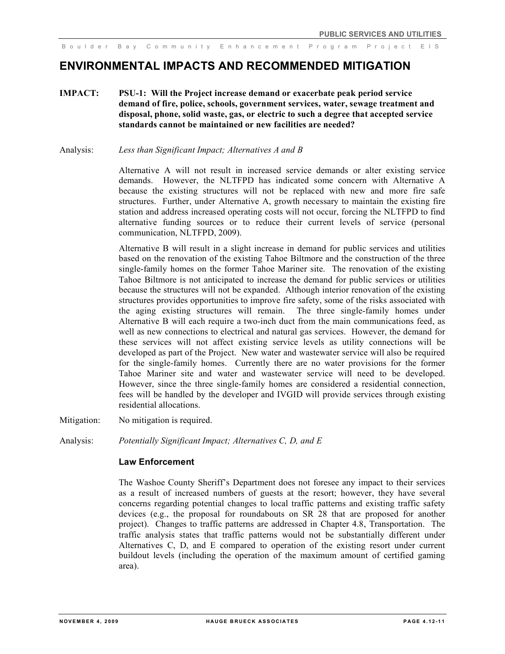# **ENVIRONMENTAL IMPACTS AND RECOMMENDED MITIGATION**

- **IMPACT: PSU-1: Will the Project increase demand or exacerbate peak period service demand of fire, police, schools, government services, water, sewage treatment and disposal, phone, solid waste, gas, or electric to such a degree that accepted service standards cannot be maintained or new facilities are needed?**
- Analysis: *Less than Significant Impact; Alternatives A and B*

Alternative A will not result in increased service demands or alter existing service demands. However, the NLTFPD has indicated some concern with Alternative A because the existing structures will not be replaced with new and more fire safe structures. Further, under Alternative A, growth necessary to maintain the existing fire station and address increased operating costs will not occur, forcing the NLTFPD to find alternative funding sources or to reduce their current levels of service (personal communication, NLTFPD, 2009).

Alternative B will result in a slight increase in demand for public services and utilities based on the renovation of the existing Tahoe Biltmore and the construction of the three single-family homes on the former Tahoe Mariner site. The renovation of the existing Tahoe Biltmore is not anticipated to increase the demand for public services or utilities because the structures will not be expanded. Although interior renovation of the existing structures provides opportunities to improve fire safety, some of the risks associated with the aging existing structures will remain. The three single-family homes under Alternative B will each require a two-inch duct from the main communications feed, as well as new connections to electrical and natural gas services. However, the demand for these services will not affect existing service levels as utility connections will be developed as part of the Project. New water and wastewater service will also be required for the single-family homes. Currently there are no water provisions for the former Tahoe Mariner site and water and wastewater service will need to be developed. However, since the three single-family homes are considered a residential connection, fees will be handled by the developer and IVGID will provide services through existing residential allocations.

- Mitigation: No mitigation is required.
- Analysis: *Potentially Significant Impact; Alternatives C, D, and E*

### **Law Enforcement**

The Washoe County Sheriff's Department does not foresee any impact to their services as a result of increased numbers of guests at the resort; however, they have several concerns regarding potential changes to local traffic patterns and existing traffic safety devices (e.g., the proposal for roundabouts on SR 28 that are proposed for another project). Changes to traffic patterns are addressed in Chapter 4.8, Transportation. The traffic analysis states that traffic patterns would not be substantially different under Alternatives C, D, and E compared to operation of the existing resort under current buildout levels (including the operation of the maximum amount of certified gaming area).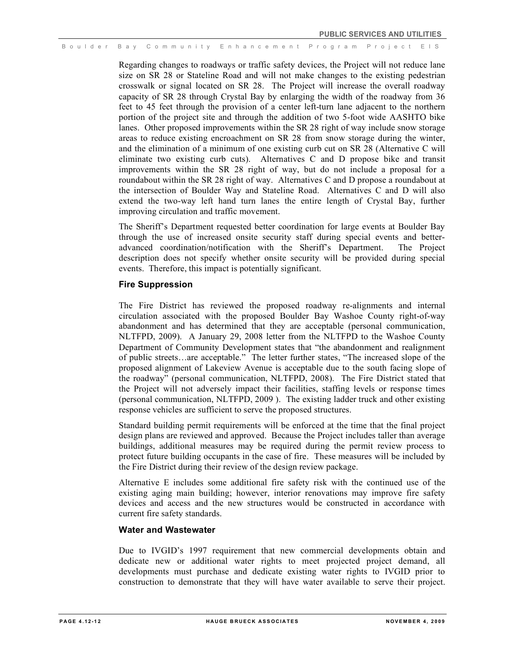Regarding changes to roadways or traffic safety devices, the Project will not reduce lane size on SR 28 or Stateline Road and will not make changes to the existing pedestrian crosswalk or signal located on SR 28. The Project will increase the overall roadway capacity of SR 28 through Crystal Bay by enlarging the width of the roadway from 36 feet to 45 feet through the provision of a center left-turn lane adjacent to the northern portion of the project site and through the addition of two 5-foot wide AASHTO bike lanes. Other proposed improvements within the SR 28 right of way include snow storage areas to reduce existing encroachment on SR 28 from snow storage during the winter, and the elimination of a minimum of one existing curb cut on SR 28 (Alternative C will eliminate two existing curb cuts). Alternatives C and D propose bike and transit improvements within the SR 28 right of way, but do not include a proposal for a roundabout within the SR 28 right of way. Alternatives C and D propose a roundabout at the intersection of Boulder Way and Stateline Road. Alternatives C and D will also extend the two-way left hand turn lanes the entire length of Crystal Bay, further improving circulation and traffic movement.

The Sheriff's Department requested better coordination for large events at Boulder Bay through the use of increased onsite security staff during special events and betteradvanced coordination/notification with the Sheriff's Department. The Project description does not specify whether onsite security will be provided during special events. Therefore, this impact is potentially significant.

### **Fire Suppression**

The Fire District has reviewed the proposed roadway re-alignments and internal circulation associated with the proposed Boulder Bay Washoe County right-of-way abandonment and has determined that they are acceptable (personal communication, NLTFPD, 2009). A January 29, 2008 letter from the NLTFPD to the Washoe County Department of Community Development states that "the abandonment and realignment of public streets…are acceptable." The letter further states, "The increased slope of the proposed alignment of Lakeview Avenue is acceptable due to the south facing slope of the roadway" (personal communication, NLTFPD, 2008). The Fire District stated that the Project will not adversely impact their facilities, staffing levels or response times (personal communication, NLTFPD, 2009 ). The existing ladder truck and other existing response vehicles are sufficient to serve the proposed structures.

Standard building permit requirements will be enforced at the time that the final project design plans are reviewed and approved. Because the Project includes taller than average buildings, additional measures may be required during the permit review process to protect future building occupants in the case of fire. These measures will be included by the Fire District during their review of the design review package.

Alternative E includes some additional fire safety risk with the continued use of the existing aging main building; however, interior renovations may improve fire safety devices and access and the new structures would be constructed in accordance with current fire safety standards.

#### **Water and Wastewater**

Due to IVGID's 1997 requirement that new commercial developments obtain and dedicate new or additional water rights to meet projected project demand, all developments must purchase and dedicate existing water rights to IVGID prior to construction to demonstrate that they will have water available to serve their project.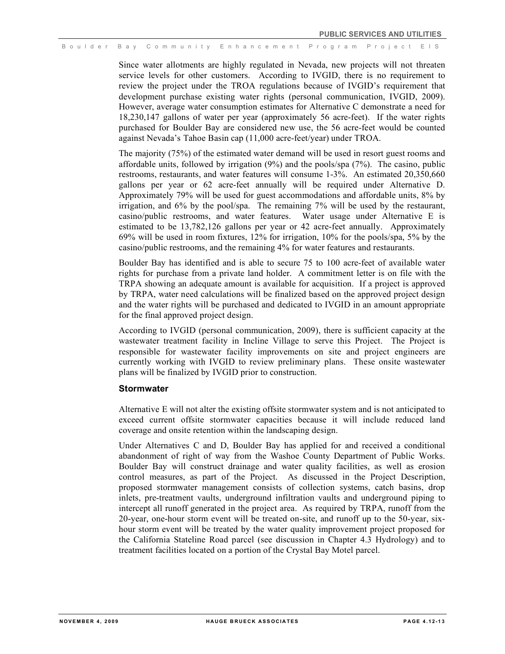Since water allotments are highly regulated in Nevada, new projects will not threaten service levels for other customers. According to IVGID, there is no requirement to review the project under the TROA regulations because of IVGID's requirement that development purchase existing water rights (personal communication, IVGID, 2009). However, average water consumption estimates for Alternative C demonstrate a need for 18,230,147 gallons of water per year (approximately 56 acre-feet). If the water rights purchased for Boulder Bay are considered new use, the 56 acre-feet would be counted against Nevada's Tahoe Basin cap (11,000 acre-feet/year) under TROA.

The majority (75%) of the estimated water demand will be used in resort guest rooms and affordable units, followed by irrigation (9%) and the pools/spa (7%). The casino, public restrooms, restaurants, and water features will consume 1-3%. An estimated 20,350,660 gallons per year or 62 acre-feet annually will be required under Alternative D. Approximately 79% will be used for guest accommodations and affordable units, 8% by irrigation, and 6% by the pool/spa. The remaining 7% will be used by the restaurant, casino/public restrooms, and water features. Water usage under Alternative E is estimated to be 13,782,126 gallons per year or 42 acre-feet annually. Approximately 69% will be used in room fixtures, 12% for irrigation, 10% for the pools/spa, 5% by the casino/public restrooms, and the remaining 4% for water features and restaurants.

Boulder Bay has identified and is able to secure 75 to 100 acre-feet of available water rights for purchase from a private land holder. A commitment letter is on file with the TRPA showing an adequate amount is available for acquisition. If a project is approved by TRPA, water need calculations will be finalized based on the approved project design and the water rights will be purchased and dedicated to IVGID in an amount appropriate for the final approved project design.

According to IVGID (personal communication, 2009), there is sufficient capacity at the wastewater treatment facility in Incline Village to serve this Project. The Project is responsible for wastewater facility improvements on site and project engineers are currently working with IVGID to review preliminary plans. These onsite wastewater plans will be finalized by IVGID prior to construction.

#### **Stormwater**

Alternative E will not alter the existing offsite stormwater system and is not anticipated to exceed current offsite stormwater capacities because it will include reduced land coverage and onsite retention within the landscaping design.

Under Alternatives C and D, Boulder Bay has applied for and received a conditional abandonment of right of way from the Washoe County Department of Public Works. Boulder Bay will construct drainage and water quality facilities, as well as erosion control measures, as part of the Project. As discussed in the Project Description, proposed stormwater management consists of collection systems, catch basins, drop inlets, pre-treatment vaults, underground infiltration vaults and underground piping to intercept all runoff generated in the project area. As required by TRPA, runoff from the 20-year, one-hour storm event will be treated on-site, and runoff up to the 50-year, sixhour storm event will be treated by the water quality improvement project proposed for the California Stateline Road parcel (see discussion in Chapter 4.3 Hydrology) and to treatment facilities located on a portion of the Crystal Bay Motel parcel.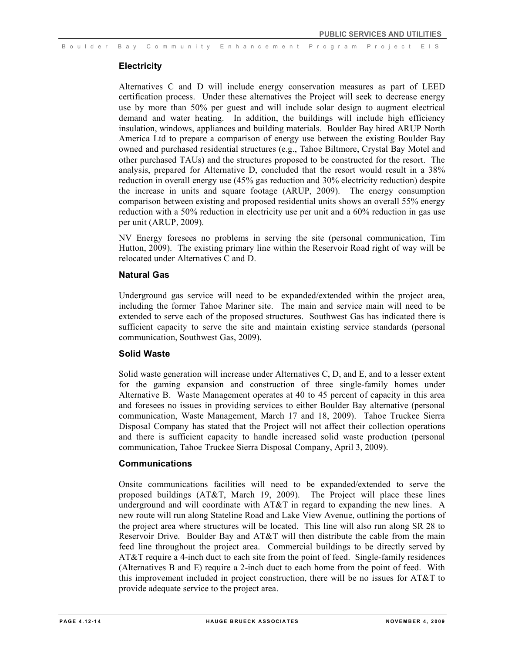### **Electricity**

Alternatives C and D will include energy conservation measures as part of LEED certification process. Under these alternatives the Project will seek to decrease energy use by more than 50% per guest and will include solar design to augment electrical demand and water heating. In addition, the buildings will include high efficiency insulation, windows, appliances and building materials. Boulder Bay hired ARUP North America Ltd to prepare a comparison of energy use between the existing Boulder Bay owned and purchased residential structures (e.g., Tahoe Biltmore, Crystal Bay Motel and other purchased TAUs) and the structures proposed to be constructed for the resort. The analysis, prepared for Alternative D, concluded that the resort would result in a 38% reduction in overall energy use (45% gas reduction and 30% electricity reduction) despite the increase in units and square footage (ARUP, 2009). The energy consumption comparison between existing and proposed residential units shows an overall 55% energy reduction with a 50% reduction in electricity use per unit and a 60% reduction in gas use per unit (ARUP, 2009).

NV Energy foresees no problems in serving the site (personal communication, Tim Hutton, 2009). The existing primary line within the Reservoir Road right of way will be relocated under Alternatives C and D.

#### **Natural Gas**

Underground gas service will need to be expanded/extended within the project area, including the former Tahoe Mariner site. The main and service main will need to be extended to serve each of the proposed structures. Southwest Gas has indicated there is sufficient capacity to serve the site and maintain existing service standards (personal communication, Southwest Gas, 2009).

# **Solid Waste**

Solid waste generation will increase under Alternatives C, D, and E, and to a lesser extent for the gaming expansion and construction of three single-family homes under Alternative B. Waste Management operates at 40 to 45 percent of capacity in this area and foresees no issues in providing services to either Boulder Bay alternative (personal communication, Waste Management, March 17 and 18, 2009). Tahoe Truckee Sierra Disposal Company has stated that the Project will not affect their collection operations and there is sufficient capacity to handle increased solid waste production (personal communication, Tahoe Truckee Sierra Disposal Company, April 3, 2009).

### **Communications**

Onsite communications facilities will need to be expanded/extended to serve the proposed buildings (AT&T, March 19, 2009). The Project will place these lines underground and will coordinate with AT&T in regard to expanding the new lines. A new route will run along Stateline Road and Lake View Avenue, outlining the portions of the project area where structures will be located. This line will also run along SR 28 to Reservoir Drive. Boulder Bay and AT&T will then distribute the cable from the main feed line throughout the project area. Commercial buildings to be directly served by AT&T require a 4-inch duct to each site from the point of feed. Single-family residences (Alternatives B and E) require a 2-inch duct to each home from the point of feed. With this improvement included in project construction, there will be no issues for AT&T to provide adequate service to the project area.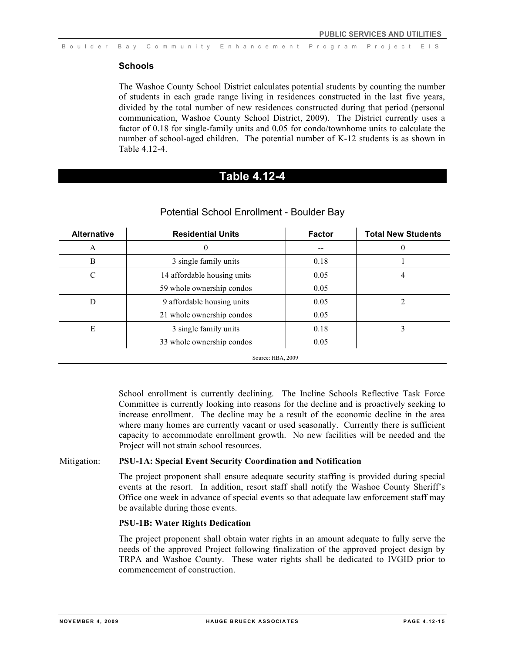### **Schools**

The Washoe County School District calculates potential students by counting the number of students in each grade range living in residences constructed in the last five years, divided by the total number of new residences constructed during that period (personal communication, Washoe County School District, 2009). The District currently uses a factor of 0.18 for single-family units and 0.05 for condo/townhome units to calculate the number of school-aged children. The potential number of K-12 students is as shown in Table 4.12-4.

# **Table 4.12-4**

| <b>Alternative</b> | <b>Residential Units</b>    | <b>Factor</b> | <b>Total New Students</b> |  |
|--------------------|-----------------------------|---------------|---------------------------|--|
| A                  | O                           |               | 0                         |  |
| B                  | 3 single family units       | 0.18          |                           |  |
| C                  | 14 affordable housing units | 0.05          | 4                         |  |
|                    | 59 whole ownership condos   | 0.05          |                           |  |
| D                  | 9 affordable housing units  | 0.05          | ↑                         |  |
|                    | 21 whole ownership condos   | 0.05          |                           |  |
| E                  | 3 single family units       | 0.18          | 3                         |  |
|                    | 33 whole ownership condos   | 0.05          |                           |  |
| Source: HBA, 2009  |                             |               |                           |  |

### Potential School Enrollment - Boulder Bay

School enrollment is currently declining. The Incline Schools Reflective Task Force Committee is currently looking into reasons for the decline and is proactively seeking to increase enrollment. The decline may be a result of the economic decline in the area where many homes are currently vacant or used seasonally. Currently there is sufficient capacity to accommodate enrollment growth. No new facilities will be needed and the Project will not strain school resources.

### Mitigation: **PSU-1A: Special Event Security Coordination and Notification**

The project proponent shall ensure adequate security staffing is provided during special events at the resort. In addition, resort staff shall notify the Washoe County Sheriff's Office one week in advance of special events so that adequate law enforcement staff may be available during those events.

### **PSU-1B: Water Rights Dedication**

The project proponent shall obtain water rights in an amount adequate to fully serve the needs of the approved Project following finalization of the approved project design by TRPA and Washoe County. These water rights shall be dedicated to IVGID prior to commencement of construction.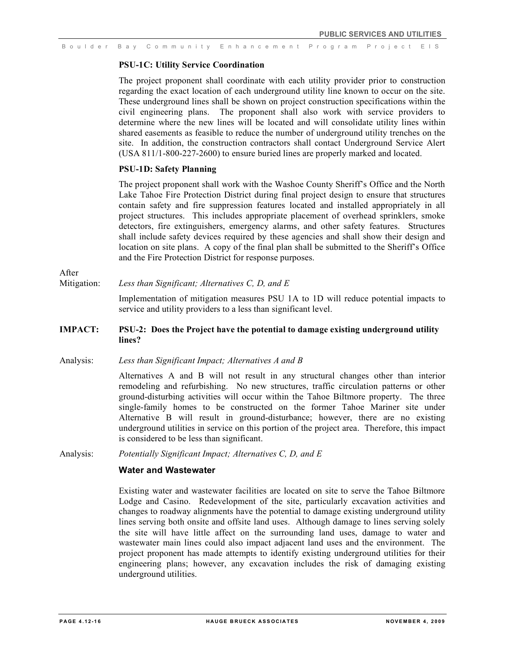### **PSU-1C: Utility Service Coordination**

The project proponent shall coordinate with each utility provider prior to construction regarding the exact location of each underground utility line known to occur on the site. These underground lines shall be shown on project construction specifications within the civil engineering plans. The proponent shall also work with service providers to determine where the new lines will be located and will consolidate utility lines within shared easements as feasible to reduce the number of underground utility trenches on the site. In addition, the construction contractors shall contact Underground Service Alert (USA 811/1-800-227-2600) to ensure buried lines are properly marked and located.

### **PSU-1D: Safety Planning**

The project proponent shall work with the Washoe County Sheriff's Office and the North Lake Tahoe Fire Protection District during final project design to ensure that structures contain safety and fire suppression features located and installed appropriately in all project structures. This includes appropriate placement of overhead sprinklers, smoke detectors, fire extinguishers, emergency alarms, and other safety features. Structures shall include safety devices required by these agencies and shall show their design and location on site plans. A copy of the final plan shall be submitted to the Sheriff's Office and the Fire Protection District for response purposes.

# After

### Mitigation: *Less than Significant; Alternatives C, D, and E*

Implementation of mitigation measures PSU 1A to 1D will reduce potential impacts to service and utility providers to a less than significant level.

# **IMPACT: PSU-2: Does the Project have the potential to damage existing underground utility lines?**

### Analysis: *Less than Significant Impact; Alternatives A and B*

Alternatives A and B will not result in any structural changes other than interior remodeling and refurbishing. No new structures, traffic circulation patterns or other ground-disturbing activities will occur within the Tahoe Biltmore property. The three single-family homes to be constructed on the former Tahoe Mariner site under Alternative B will result in ground-disturbance; however, there are no existing underground utilities in service on this portion of the project area. Therefore, this impact is considered to be less than significant.

Analysis: *Potentially Significant Impact; Alternatives C, D, and E*

# **Water and Wastewater**

Existing water and wastewater facilities are located on site to serve the Tahoe Biltmore Lodge and Casino. Redevelopment of the site, particularly excavation activities and changes to roadway alignments have the potential to damage existing underground utility lines serving both onsite and offsite land uses. Although damage to lines serving solely the site will have little affect on the surrounding land uses, damage to water and wastewater main lines could also impact adjacent land uses and the environment. The project proponent has made attempts to identify existing underground utilities for their engineering plans; however, any excavation includes the risk of damaging existing underground utilities.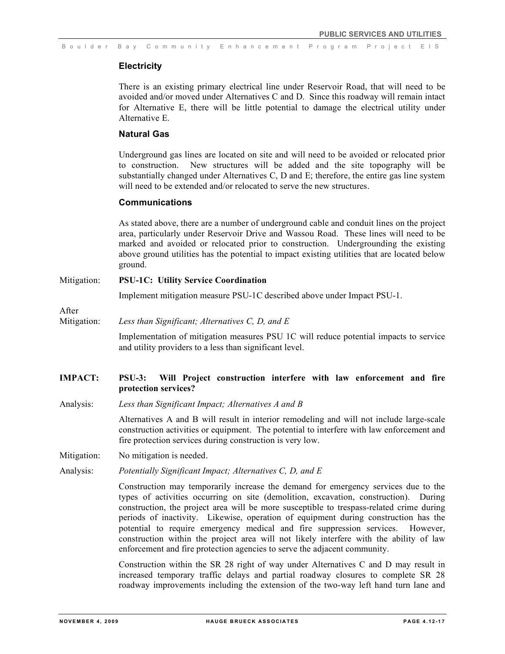### **Electricity**

There is an existing primary electrical line under Reservoir Road, that will need to be avoided and/or moved under Alternatives C and D. Since this roadway will remain intact for Alternative E, there will be little potential to damage the electrical utility under Alternative E.

# **Natural Gas**

Underground gas lines are located on site and will need to be avoided or relocated prior to construction. New structures will be added and the site topography will be substantially changed under Alternatives C, D and E; therefore, the entire gas line system will need to be extended and/or relocated to serve the new structures.

### **Communications**

As stated above, there are a number of underground cable and conduit lines on the project area, particularly under Reservoir Drive and Wassou Road. These lines will need to be marked and avoided or relocated prior to construction. Undergrounding the existing above ground utilities has the potential to impact existing utilities that are located below ground.

### Mitigation: **PSU-1C: Utility Service Coordination**

Implement mitigation measure PSU-1C described above under Impact PSU-1.

After

Mitigation: *Less than Significant; Alternatives C, D, and E*

Implementation of mitigation measures PSU 1C will reduce potential impacts to service and utility providers to a less than significant level.

# **IMPACT: PSU-3: Will Project construction interfere with law enforcement and fire protection services?**

Analysis: *Less than Significant Impact; Alternatives A and B*

Alternatives A and B will result in interior remodeling and will not include large-scale construction activities or equipment. The potential to interfere with law enforcement and fire protection services during construction is very low.

Mitigation: No mitigation is needed.

Analysis: *Potentially Significant Impact; Alternatives C, D, and E*

Construction may temporarily increase the demand for emergency services due to the types of activities occurring on site (demolition, excavation, construction). During construction, the project area will be more susceptible to trespass-related crime during periods of inactivity. Likewise, operation of equipment during construction has the potential to require emergency medical and fire suppression services. However, construction within the project area will not likely interfere with the ability of law enforcement and fire protection agencies to serve the adjacent community.

Construction within the SR 28 right of way under Alternatives C and D may result in increased temporary traffic delays and partial roadway closures to complete SR 28 roadway improvements including the extension of the two-way left hand turn lane and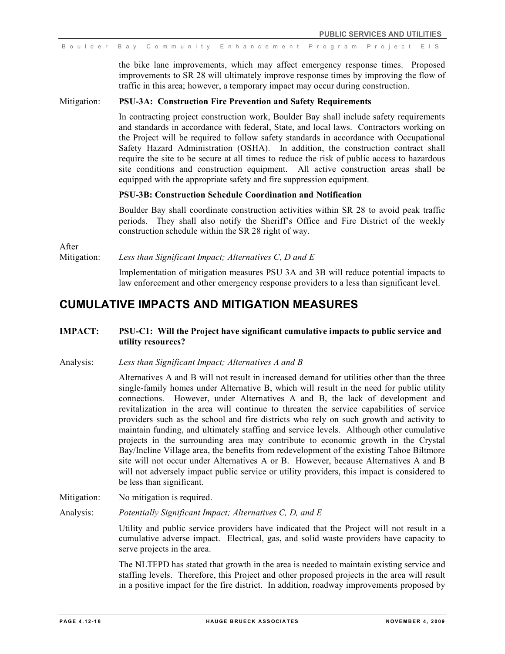the bike lane improvements, which may affect emergency response times. Proposed improvements to SR 28 will ultimately improve response times by improving the flow of traffic in this area; however, a temporary impact may occur during construction.

### Mitigation: **PSU-3A: Construction Fire Prevention and Safety Requirements**

In contracting project construction work, Boulder Bay shall include safety requirements and standards in accordance with federal, State, and local laws. Contractors working on the Project will be required to follow safety standards in accordance with Occupational Safety Hazard Administration (OSHA). In addition, the construction contract shall require the site to be secure at all times to reduce the risk of public access to hazardous site conditions and construction equipment. All active construction areas shall be equipped with the appropriate safety and fire suppression equipment.

# **PSU-3B: Construction Schedule Coordination and Notification**

Boulder Bay shall coordinate construction activities within SR 28 to avoid peak traffic periods. They shall also notify the Sheriff's Office and Fire District of the weekly construction schedule within the SR 28 right of way.

After

Mitigation: *Less than Significant Impact; Alternatives C, D and E*

Implementation of mitigation measures PSU 3A and 3B will reduce potential impacts to law enforcement and other emergency response providers to a less than significant level.

# **CUMULATIVE IMPACTS AND MITIGATION MEASURES**

# **IMPACT: PSU-C1: Will the Project have significant cumulative impacts to public service and utility resources?**

#### Analysis: *Less than Significant Impact; Alternatives A and B*

Alternatives A and B will not result in increased demand for utilities other than the three single-family homes under Alternative B, which will result in the need for public utility connections. However, under Alternatives A and B, the lack of development and revitalization in the area will continue to threaten the service capabilities of service providers such as the school and fire districts who rely on such growth and activity to maintain funding, and ultimately staffing and service levels. Although other cumulative projects in the surrounding area may contribute to economic growth in the Crystal Bay/Incline Village area, the benefits from redevelopment of the existing Tahoe Biltmore site will not occur under Alternatives A or B. However, because Alternatives A and B will not adversely impact public service or utility providers, this impact is considered to be less than significant.

Mitigation: No mitigation is required.

Analysis: *Potentially Significant Impact; Alternatives C, D, and E*

Utility and public service providers have indicated that the Project will not result in a cumulative adverse impact. Electrical, gas, and solid waste providers have capacity to serve projects in the area.

The NLTFPD has stated that growth in the area is needed to maintain existing service and staffing levels. Therefore, this Project and other proposed projects in the area will result in a positive impact for the fire district. In addition, roadway improvements proposed by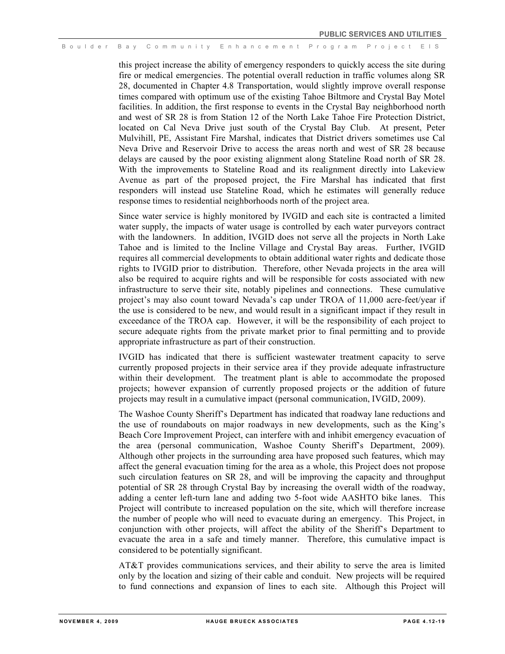this project increase the ability of emergency responders to quickly access the site during fire or medical emergencies. The potential overall reduction in traffic volumes along SR 28, documented in Chapter 4.8 Transportation, would slightly improve overall response times compared with optimum use of the existing Tahoe Biltmore and Crystal Bay Motel facilities. In addition, the first response to events in the Crystal Bay neighborhood north and west of SR 28 is from Station 12 of the North Lake Tahoe Fire Protection District, located on Cal Neva Drive just south of the Crystal Bay Club. At present, Peter Mulvihill, PE, Assistant Fire Marshal, indicates that District drivers sometimes use Cal Neva Drive and Reservoir Drive to access the areas north and west of SR 28 because delays are caused by the poor existing alignment along Stateline Road north of SR 28. With the improvements to Stateline Road and its realignment directly into Lakeview Avenue as part of the proposed project, the Fire Marshal has indicated that first responders will instead use Stateline Road, which he estimates will generally reduce response times to residential neighborhoods north of the project area.

Since water service is highly monitored by IVGID and each site is contracted a limited water supply, the impacts of water usage is controlled by each water purveyors contract with the landowners. In addition, IVGID does not serve all the projects in North Lake Tahoe and is limited to the Incline Village and Crystal Bay areas. Further, IVGID requires all commercial developments to obtain additional water rights and dedicate those rights to IVGID prior to distribution. Therefore, other Nevada projects in the area will also be required to acquire rights and will be responsible for costs associated with new infrastructure to serve their site, notably pipelines and connections. These cumulative project's may also count toward Nevada's cap under TROA of 11,000 acre-feet/year if the use is considered to be new, and would result in a significant impact if they result in exceedance of the TROA cap. However, it will be the responsibility of each project to secure adequate rights from the private market prior to final permitting and to provide appropriate infrastructure as part of their construction.

IVGID has indicated that there is sufficient wastewater treatment capacity to serve currently proposed projects in their service area if they provide adequate infrastructure within their development. The treatment plant is able to accommodate the proposed projects; however expansion of currently proposed projects or the addition of future projects may result in a cumulative impact (personal communication, IVGID, 2009).

The Washoe County Sheriff's Department has indicated that roadway lane reductions and the use of roundabouts on major roadways in new developments, such as the King's Beach Core Improvement Project, can interfere with and inhibit emergency evacuation of the area (personal communication, Washoe County Sheriff's Department, 2009). Although other projects in the surrounding area have proposed such features, which may affect the general evacuation timing for the area as a whole, this Project does not propose such circulation features on SR 28, and will be improving the capacity and throughput potential of SR 28 through Crystal Bay by increasing the overall width of the roadway, adding a center left-turn lane and adding two 5-foot wide AASHTO bike lanes. This Project will contribute to increased population on the site, which will therefore increase the number of people who will need to evacuate during an emergency. This Project, in conjunction with other projects, will affect the ability of the Sheriff's Department to evacuate the area in a safe and timely manner. Therefore, this cumulative impact is considered to be potentially significant.

AT&T provides communications services, and their ability to serve the area is limited only by the location and sizing of their cable and conduit. New projects will be required to fund connections and expansion of lines to each site. Although this Project will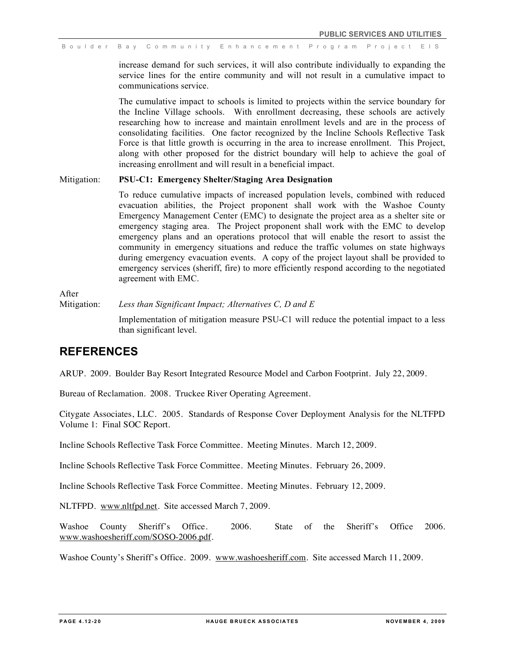increase demand for such services, it will also contribute individually to expanding the service lines for the entire community and will not result in a cumulative impact to communications service.

The cumulative impact to schools is limited to projects within the service boundary for the Incline Village schools. With enrollment decreasing, these schools are actively researching how to increase and maintain enrollment levels and are in the process of consolidating facilities. One factor recognized by the Incline Schools Reflective Task Force is that little growth is occurring in the area to increase enrollment. This Project, along with other proposed for the district boundary will help to achieve the goal of increasing enrollment and will result in a beneficial impact.

### Mitigation: **PSU-C1: Emergency Shelter/Staging Area Designation**

To reduce cumulative impacts of increased population levels, combined with reduced evacuation abilities, the Project proponent shall work with the Washoe County Emergency Management Center (EMC) to designate the project area as a shelter site or emergency staging area. The Project proponent shall work with the EMC to develop emergency plans and an operations protocol that will enable the resort to assist the community in emergency situations and reduce the traffic volumes on state highways during emergency evacuation events. A copy of the project layout shall be provided to emergency services (sheriff, fire) to more efficiently respond according to the negotiated agreement with EMC.

After

Mitigation: *Less than Significant Impact; Alternatives C, D and E*

Implementation of mitigation measure PSU-C1 will reduce the potential impact to a less than significant level.

# **REFERENCES**

ARUP. 2009. Boulder Bay Resort Integrated Resource Model and Carbon Footprint. July 22, 2009.

Bureau of Reclamation. 2008. Truckee River Operating Agreement.

Citygate Associates, LLC. 2005. Standards of Response Cover Deployment Analysis for the NLTFPD Volume 1: Final SOC Report.

Incline Schools Reflective Task Force Committee. Meeting Minutes. March 12, 2009.

Incline Schools Reflective Task Force Committee. Meeting Minutes. February 26, 2009.

Incline Schools Reflective Task Force Committee. Meeting Minutes. February 12, 2009.

NLTFPD. www.nltfpd.net. Site accessed March 7, 2009.

Washoe County Sheriff's Office. 2006. State of the Sheriff's Office 2006. www.washoesheriff.com/SOSO-2006.pdf.

Washoe County's Sheriff's Office. 2009. www.washoesheriff.com. Site accessed March 11, 2009.